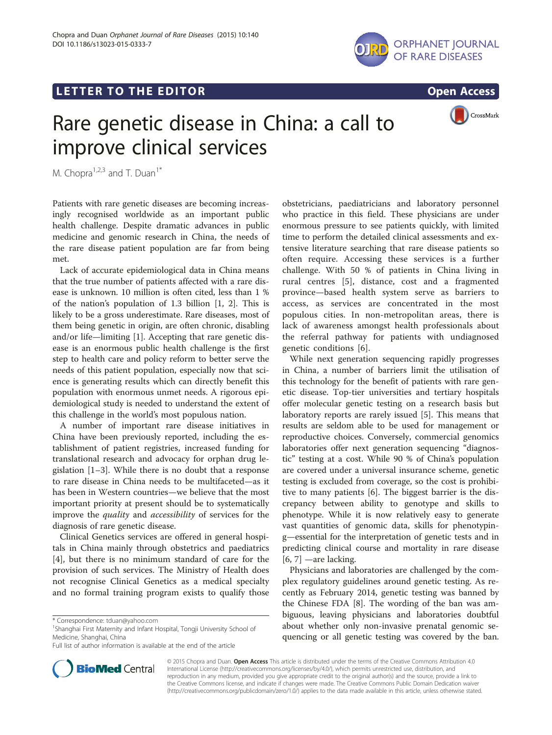# LETTER TO THE EDITOR **CONTROLLER TO THE EDITOR**





# Rare genetic disease in China: a call to improve clinical services

M. Chopra $1,2,3$  and T. Duan<sup>1\*</sup>

Patients with rare genetic diseases are becoming increasingly recognised worldwide as an important public health challenge. Despite dramatic advances in public medicine and genomic research in China, the needs of the rare disease patient population are far from being met.

Lack of accurate epidemiological data in China means that the true number of patients affected with a rare disease is unknown. 10 million is often cited, less than 1 % of the nation's population of 1.3 billion [[1, 2](#page-1-0)]. This is likely to be a gross underestimate. Rare diseases, most of them being genetic in origin, are often chronic, disabling and/or life—limiting [[1\]](#page-1-0). Accepting that rare genetic disease is an enormous public health challenge is the first step to health care and policy reform to better serve the needs of this patient population, especially now that science is generating results which can directly benefit this population with enormous unmet needs. A rigorous epidemiological study is needed to understand the extent of this challenge in the world's most populous nation.

A number of important rare disease initiatives in China have been previously reported, including the establishment of patient registries, increased funding for translational research and advocacy for orphan drug legislation [[1](#page-1-0)–[3](#page-1-0)]. While there is no doubt that a response to rare disease in China needs to be multifaceted—as it has been in Western countries—we believe that the most important priority at present should be to systematically improve the quality and accessibility of services for the diagnosis of rare genetic disease.

Clinical Genetics services are offered in general hospitals in China mainly through obstetrics and paediatrics [[4\]](#page-1-0), but there is no minimum standard of care for the provision of such services. The Ministry of Health does not recognise Clinical Genetics as a medical specialty and no formal training program exists to qualify those



While next generation sequencing rapidly progresses in China, a number of barriers limit the utilisation of this technology for the benefit of patients with rare genetic disease. Top-tier universities and tertiary hospitals offer molecular genetic testing on a research basis but laboratory reports are rarely issued [\[5](#page-1-0)]. This means that results are seldom able to be used for management or reproductive choices. Conversely, commercial genomics laboratories offer next generation sequencing "diagnostic" testing at a cost. While 90 % of China's population are covered under a universal insurance scheme, genetic testing is excluded from coverage, so the cost is prohibitive to many patients [\[6\]](#page-1-0). The biggest barrier is the discrepancy between ability to genotype and skills to phenotype. While it is now relatively easy to generate vast quantities of genomic data, skills for phenotyping—essential for the interpretation of genetic tests and in predicting clinical course and mortality in rare disease  $[6, 7]$  $[6, 7]$  —are lacking.

Physicians and laboratories are challenged by the complex regulatory guidelines around genetic testing. As recently as February 2014, genetic testing was banned by the Chinese FDA [\[8](#page-1-0)]. The wording of the ban was ambiguous, leaving physicians and laboratories doubtful about whether only non-invasive prenatal genomic sequencing or all genetic testing was covered by the ban.



© 2015 Chopra and Duan. Open Access This article is distributed under the terms of the Creative Commons Attribution 4.0 International License [\(http://creativecommons.org/licenses/by/4.0/](http://creativecommons.org/licenses/by/4.0/)), which permits unrestricted use, distribution, and reproduction in any medium, provided you give appropriate credit to the original author(s) and the source, provide a link to the Creative Commons license, and indicate if changes were made. The Creative Commons Public Domain Dedication waiver [\(http://creativecommons.org/publicdomain/zero/1.0/](http://creativecommons.org/publicdomain/zero/1.0/)) applies to the data made available in this article, unless otherwise stated.

<sup>\*</sup> Correspondence: [tduan@yahoo.com](mailto:tduan@yahoo.com) <sup>1</sup>

<sup>&</sup>lt;sup>1</sup>Shanghai First Maternity and Infant Hospital, Tongji University School of Medicine, Shanghai, China

Full list of author information is available at the end of the article